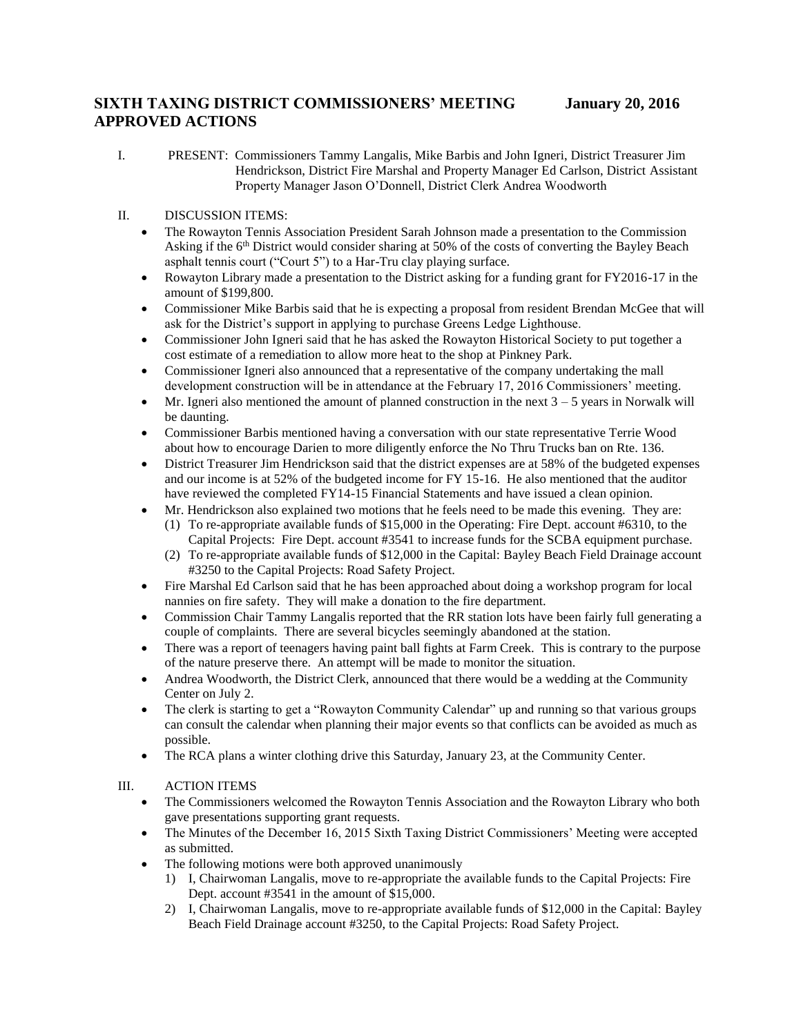## **SIXTH TAXING DISTRICT COMMISSIONERS' MEETING January 20, 2016 APPROVED ACTIONS**

## II. DISCUSSION ITEMS:

- The Rowayton Tennis Association President Sarah Johnson made a presentation to the Commission Asking if the  $6<sup>th</sup>$  District would consider sharing at 50% of the costs of converting the Bayley Beach asphalt tennis court ("Court 5") to a Har-Tru clay playing surface.
- Rowayton Library made a presentation to the District asking for a funding grant for FY2016-17 in the amount of \$199,800.
- Commissioner Mike Barbis said that he is expecting a proposal from resident Brendan McGee that will ask for the District's support in applying to purchase Greens Ledge Lighthouse.
- Commissioner John Igneri said that he has asked the Rowayton Historical Society to put together a cost estimate of a remediation to allow more heat to the shop at Pinkney Park.
- Commissioner Igneri also announced that a representative of the company undertaking the mall development construction will be in attendance at the February 17, 2016 Commissioners' meeting.
- Mr. Igneri also mentioned the amount of planned construction in the next  $3 5$  years in Norwalk will be daunting.
- Commissioner Barbis mentioned having a conversation with our state representative Terrie Wood about how to encourage Darien to more diligently enforce the No Thru Trucks ban on Rte. 136.
- District Treasurer Jim Hendrickson said that the district expenses are at 58% of the budgeted expenses and our income is at 52% of the budgeted income for FY 15-16. He also mentioned that the auditor have reviewed the completed FY14-15 Financial Statements and have issued a clean opinion.
	- Mr. Hendrickson also explained two motions that he feels need to be made this evening. They are:
		- (1) To re-appropriate available funds of \$15,000 in the Operating: Fire Dept. account #6310, to the Capital Projects: Fire Dept. account #3541 to increase funds for the SCBA equipment purchase.
		- (2) To re-appropriate available funds of \$12,000 in the Capital: Bayley Beach Field Drainage account #3250 to the Capital Projects: Road Safety Project.
- Fire Marshal Ed Carlson said that he has been approached about doing a workshop program for local nannies on fire safety. They will make a donation to the fire department.
- Commission Chair Tammy Langalis reported that the RR station lots have been fairly full generating a couple of complaints. There are several bicycles seemingly abandoned at the station.
- There was a report of teenagers having paint ball fights at Farm Creek. This is contrary to the purpose of the nature preserve there. An attempt will be made to monitor the situation.
- Andrea Woodworth, the District Clerk, announced that there would be a wedding at the Community Center on July 2.
- The clerk is starting to get a "Rowayton Community Calendar" up and running so that various groups can consult the calendar when planning their major events so that conflicts can be avoided as much as possible.
- The RCA plans a winter clothing drive this Saturday, January 23, at the Community Center.

## III. ACTION ITEMS

- The Commissioners welcomed the Rowayton Tennis Association and the Rowayton Library who both gave presentations supporting grant requests.
- The Minutes of the December 16, 2015 Sixth Taxing District Commissioners' Meeting were accepted as submitted.
- The following motions were both approved unanimously
	- 1) I, Chairwoman Langalis, move to re-appropriate the available funds to the Capital Projects: Fire Dept. account #3541 in the amount of \$15,000.
	- 2) I, Chairwoman Langalis, move to re-appropriate available funds of \$12,000 in the Capital: Bayley Beach Field Drainage account #3250, to the Capital Projects: Road Safety Project.

I. PRESENT: Commissioners Tammy Langalis, Mike Barbis and John Igneri, District Treasurer Jim Hendrickson, District Fire Marshal and Property Manager Ed Carlson, District Assistant Property Manager Jason O'Donnell, District Clerk Andrea Woodworth